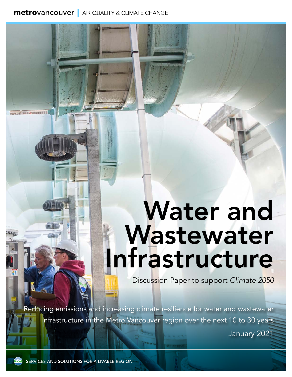# Water and Wastewater Infrastructure

Discussion Paper to support *Climate 2050*

Reducing emissions and increasing climate resilience for water and wastewater infrastructure in the Metro Vancouver region over the next 10 to 30 years January 2021



**CALIFORNIA CONSTRU**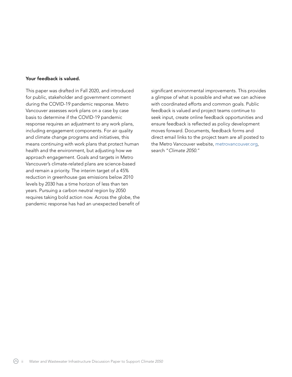#### Your feedback is valued.

This paper was drafted in Fall 2020, and introduced for public, stakeholder and government comment during the COVID-19 pandemic response. Metro Vancouver assesses work plans on a case by case basis to determine if the COVID-19 pandemic response requires an adjustment to any work plans, including engagement components. For air quality and climate change programs and initiatives, this means continuing with work plans that protect human health and the environment, but adjusting how we approach engagement. Goals and targets in Metro Vancouver's climate-related plans are science-based and remain a priority. The interim target of a 45% reduction in greenhouse gas emissions below 2010 levels by 2030 has a time horizon of less than ten years. Pursuing a carbon neutral region by 2050 requires taking bold action now. Across the globe, the pandemic response has had an unexpected benefit of significant environmental improvements. This provides a glimpse of what is possible and what we can achieve with coordinated efforts and common goals. Public feedback is valued and project teams continue to seek input, create online feedback opportunities and ensure feedback is reflected as policy development moves forward. Documents, feedback forms and direct email links to the project team are all posted to the Metro Vancouver website, [metrovancouver.org](http://www.metrovancouver.org), search "*Climate 2050*."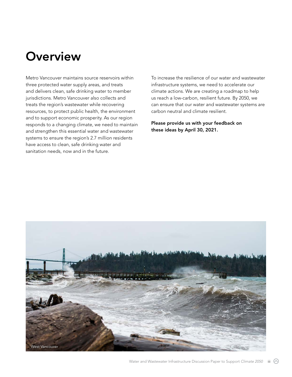# <span id="page-2-0"></span>**Overview**

Metro Vancouver maintains source reservoirs within three protected water supply areas, and treats and delivers clean, safe drinking water to member jurisdictions. Metro Vancouver also collects and treats the region's wastewater while recovering resources, to protect public health, the environment and to support economic prosperity. As our region responds to a changing climate, we need to maintain and strengthen this essential water and wastewater systems to ensure the region's 2.7 million residents have access to clean, safe drinking water and sanitation needs, now and in the future.

To increase the resilience of our water and wastewater infrastructure systems, we need to accelerate our climate actions. We are creating a roadmap to help us reach a low-carbon, resilient future. By 2050, we can ensure that our water and wastewater systems are carbon neutral and climate resilient.

Please provide us with your feedback on these ideas by April 30, 2021.

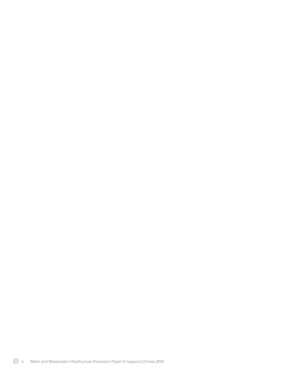iv Water and Wastewater Infrastructure Discussion Paper to Support *Climate 2050*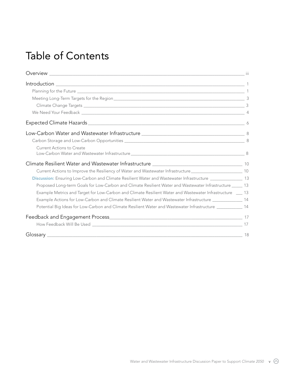## Table of Contents

| Current Actions to Create<br>Low-Carbon Water and Wastewater Infrastructure___________________________________ |  |
|----------------------------------------------------------------------------------------------------------------|--|
|                                                                                                                |  |
| Current Actions to Improve the Resiliency of Water and Wastewater Infrastructure__________________________ 10  |  |
| Discussion: Ensuring Low-Carbon and Climate Resilient Water and Wastewater Infrastructure _______________ 13   |  |
| Proposed Long-term Goals for Low-Carbon and Climate Resilient Water and Wastewater Infrastructure _____ 13     |  |
| Example Metrics and Target for Low-Carbon and Climate Resilient Water and Wastewater Infrastructure __ 13      |  |
| Example Actions for Low-Carbon and Climate Resilient Water and Wastewater Infrastructure ______________ 14     |  |
| Potential Big Ideas for Low-Carbon and Climate Resilient Water and Wastewater Infrastructure _____________ 14  |  |
|                                                                                                                |  |
|                                                                                                                |  |
|                                                                                                                |  |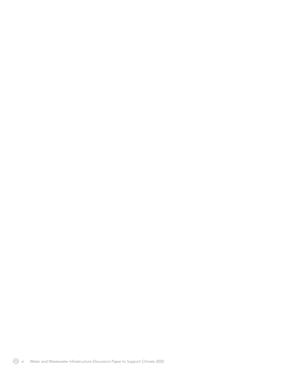vi Water and Wastewater Infrastructure Discussion Paper to Support *Climate 2050*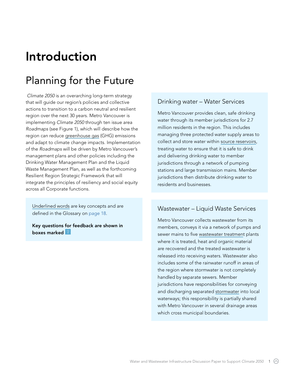# <span id="page-6-0"></span>Introduction

## Planning for the Future

 *Climate 2050* is an overarching long-term strategy that will guide our region's policies and collective actions to transition to a carbon neutral and resilient region over the next 30 years. Metro Vancouver is implementing *Climate 2050* through ten issue area *Roadmaps* (see Figure 1), which will describe how the region can reduce [greenhouse gas](#page-23-0) (GHG) emissions and adapt to climate change impacts. Implementation of the *Roadmaps* will be driven by Metro Vancouver's management plans and other policies including the Drinking Water Management Plan and the Liquid Waste Management Plan, as well as the forthcoming Resilient Region Strategic Framework that will integrate the principles of resiliency and social equity across all Corporate functions.

Underlined words are key concepts and are defined in the Glossary on [page 1](#page-23-0)8.

Key questions for feedback are shown in boxes marked  $\sqrt[2]{\ }$ 

#### Drinking water – Water Services

Metro Vancouver provides clean, safe drinking water through its member jurisdictions for 2.7 million residents in the region. This includes managing three protected water supply areas to collect and store water within source reservoirs, treating water to ensure that it is safe to drink and delivering drinking water to member jurisdictions through a network of pumping stations and large transmission mains. Member jurisdictions then distribute drinking water to residents and businesses.

#### Wastewater – Liquid Waste Services

Metro Vancouver collects wastewater from its members, conveys it via a network of pumps and sewer mains to five wastewater treatment plants where it is treated, heat and organic material are recovered and the treated wastewater is released into receiving waters. Wastewater also includes some of the rainwater runoff in areas of the region where stormwater is not completely handled by separate sewers. Member jurisdictions have responsibilities for conveying and discharging separated [stormwater](#page-24-0) into local waterways; this responsibility is partially shared with Metro Vancouver in several drainage areas which cross municipal boundaries.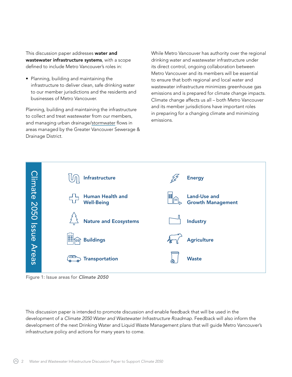This discussion paper addresses water and wastewater infrastructure systems, with a scope defined to include Metro Vancouver's roles in:

• Planning, building and maintaining the infrastructure to deliver clean, safe drinking water to our member jurisdictions and the residents and businesses of Metro Vancouver.

Planning, building and maintaining the infrastructure to collect and treat wastewater from our members, and managing [urban drainage/stormwater flows](#page-24-0) in areas managed by the Greater Vancouver Sewerage & Drainage District.

While Metro Vancouver has authority over the regional drinking water and wastewater infrastructure under its direct control, ongoing collaboration between Metro Vancouver and its members will be essential to ensure that both regional and local water and wastewater infrastructure minimizes greenhouse gas emissions and is prepared for climate change impacts. Climate change affects us all – both Metro Vancouver and its member jurisdictions have important roles in preparing for a changing climate and minimizing emissions.



Figure 1: Issue areas for *Climate 2050*

This discussion paper is intended to promote discussion and enable feedback that will be used in the development of a *Climate 2050 Water and Wastewater Infrastructure Roadmap*. Feedback will also inform the development of the next Drinking Water and Liquid Waste Management plans that will guide Metro Vancouver's infrastructure policy and actions for many years to come.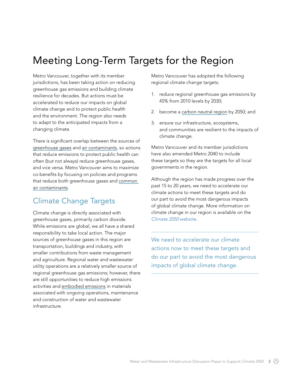### <span id="page-8-0"></span>Meeting Long-Term Targets for the Region

Metro Vancouver, together with its member jurisdictions, has been taking action on reducing greenhouse gas emissions and building climate resilience for decades. But actions must be accelerated to reduce our impacts on global climate change and to protect public health and the environment. The region also needs to adapt to the anticipated impacts from a changing climate.

There is significant overlap between the sources of [greenhouse gases](#page-23-0) and [air contaminants](#page-23-0), so actions that reduce emissions to protect public health can often (but not always) reduce greenhouse gases, and vice versa. Metro Vancouver aims to maximize co-benefits by focusing on policies and programs that reduce both greenhouse gases and [common](#page-23-0)  [air contaminants](#page-23-0).

### Climate Change Targets

Climate change is directly associated with greenhouse gases, primarily carbon dioxide. While emissions are global, we all have a shared responsibility to take local action. The major sources of greenhouse gases in this region are transportation, buildings and industry, with smaller contributions from waste management and agriculture. Regional water and wastewater utility operations are a relatively smaller source of regional greenhouse gas emissions; however, there are still opportunities to reduce high emissions activities and [embodied emissions](#page-23-0) in materials associated with ongoing operations, maintenance and construction of water and wastewater infrastructure.

Metro Vancouver has adopted the following regional climate change targets:

- 1. reduce regional greenhouse gas emissions by 45% from 2010 levels by 2030;
- 2. become a [carbon neutral region](#page-23-0) by 2050; and
- 3. ensure our infrastructure, ecosystems, and communities are resilient to the impacts of climate change.

Metro Vancouver and its member jurisdictions have also amended Metro 2040 to include these targets so they are the targets for all local governments in the region.

Although the region has made progress over the past 15 to 20 years, we need to accelerate our climate actions to meet these targets and do our part to avoid the most dangerous impacts of global climate change. More information on climate change in our region is available on the *[Climate 2050](http://www.metrovancouver.org/climate2050)* website.

We need to accelerate our climate actions now to meet these targets and do our part to avoid the most dangerous impacts of global climate change.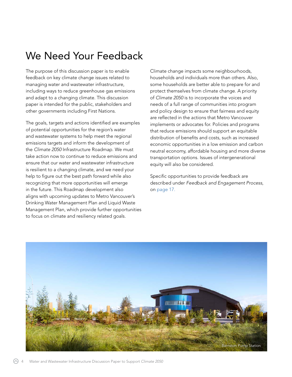### <span id="page-9-0"></span>We Need Your Feedback

The purpose of this discussion paper is to enable feedback on key climate change issues related to managing water and wastewater infrastructure, including ways to reduce greenhouse gas emissions and adapt to a changing climate. This discussion paper is intended for the public, stakeholders and other governments including First Nations.

The goals, targets and actions identified are examples of potential opportunities for the region's water and wastewater systems to help meet the regional emissions targets and inform the development of the *Climate 2050* Infrastructure Roadmap. We must take action now to continue to reduce emissions and ensure that our water and wastewater infrastructure is resilient to a changing climate, and we need your help to figure out the best path forward while also recognizing that more opportunities will emerge in the future. This Roadmap development also aligns with upcoming updates to Metro Vancouver's Drinking Water Management Plan and Liquid Waste Management Plan, which provide further opportunities to focus on climate and resiliency related goals.

Climate change impacts some neighbourhoods, households and individuals more than others. Also, some households are better able to prepare for and protect themselves from climate change. A priority of *Climate 2050* is to incorporate the voices and needs of a full range of communities into program and policy design to ensure that fairness and equity are reflected in the actions that Metro Vancouver implements or advocates for. Policies and programs that reduce emissions should support an equitable distribution of benefits and costs, such as increased economic opportunities in a low emission and carbon neutral economy, affordable housing and more diverse transportation options. Issues of intergenerational equity will also be considered.

Specific opportunities to provide feedback are described under *Feedback and Engagement Process*, on [page 17](#page-22-0).

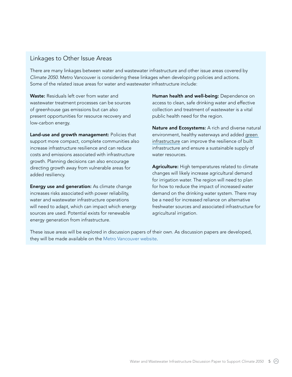#### Linkages to Other Issue Areas

There are many linkages between water and wastewater infrastructure and other issue areas covered by *Climate 2050*. Metro Vancouver is considering these linkages when developing policies and actions. Some of the related issue areas for water and wastewater infrastructure include:

Waste: Residuals left over from water and wastewater treatment processes can be sources of greenhouse gas emissions but can also present opportunities for resource recovery and low-carbon energy.

Land-use and growth management: Policies that support more compact, complete communities also increase infrastructure resilience and can reduce costs and emissions associated with infrastructure growth. Planning decisions can also encourage directing growth away from vulnerable areas for added resiliency.

Energy use and generation: As climate change increases risks associated with power reliability, water and wastewater infrastructure operations will need to adapt, which can impact which energy sources are used. Potential exists for renewable energy generation from infrastructure.

Human health and well-being: Dependence on access to clean, safe drinking water and effective collection and treatment of wastewater is a vital public health need for the region.

Nature and Ecosystems: A rich and diverse natural environment, healthy waterways and added [green](#page-23-0)  [infrastructure](#page-23-0) can improve the resilience of built infrastructure and ensure a sustainable supply of water resources.

Agriculture: High temperatures related to climate changes will likely increase agricultural demand for irrigation water. The region will need to plan for how to reduce the impact of increased water demand on the drinking water system. There may be a need for increased reliance on alternative freshwater sources and associated infrastructure for agricultural irrigation.

These issue areas will be explored in discussion papers of their own. As discussion papers are developed, they will be made available on the [Metro Vancouver website.](http://www.metrovancouver.org/services/air-quality/climate-action/climate2050/regional-priorities/discussion-papers/Pages/default.aspx)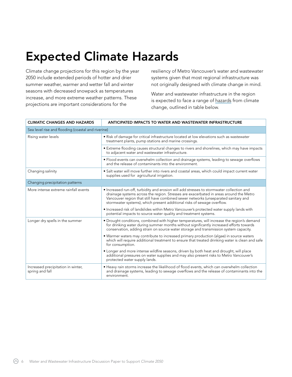# <span id="page-11-0"></span>Expected Climate Hazards

Climate change projections for this region by the year 2050 include extended periods of hotter and drier summer weather, warmer and wetter fall and winter seasons with decreased snowpack as temperatures increase, and more extreme weather patterns. These projections are important considerations for the

resiliency of Metro Vancouver's water and wastewater systems given that most regional infrastructure was not originally designed with climate change in mind.

Water and wastewater infrastructure in the region is expected to face a range of [hazards](#page-24-0) from climate change, outlined in table below.

| <b>CLIMATIC CHANGES AND HAZARDS</b>                   | ANTICIPATED IMPACTS TO WATER AND WASTEWATER INFRASTRUCTURE                                                                                                                                                                                                                                                                                           |  |  |  |  |
|-------------------------------------------------------|------------------------------------------------------------------------------------------------------------------------------------------------------------------------------------------------------------------------------------------------------------------------------------------------------------------------------------------------------|--|--|--|--|
| Sea level rise and flooding (coastal and riverine)    |                                                                                                                                                                                                                                                                                                                                                      |  |  |  |  |
| Rising water levels                                   | • Risk of damage for critical infrastructure located at low elevations such as wastewater<br>treatment plants, pump stations and marine crossings.                                                                                                                                                                                                   |  |  |  |  |
|                                                       | • Extreme flooding causes structural changes to rivers and shorelines, which may have impacts<br>to adjacent water and wastewater infrastructure.                                                                                                                                                                                                    |  |  |  |  |
|                                                       | · Flood events can overwhelm collection and drainage systems, leading to sewage overflows<br>and the release of contaminants into the environment.                                                                                                                                                                                                   |  |  |  |  |
| Changing salinity                                     | • Salt water will move further into rivers and coastal areas, which could impact current water<br>supplies used for agricultural irrigation.                                                                                                                                                                                                         |  |  |  |  |
| Changing precipitation patterns                       |                                                                                                                                                                                                                                                                                                                                                      |  |  |  |  |
| More intense extreme rainfall events                  | • Increased run-off, turbidity and erosion will add stresses to stormwater collection and<br>drainage systems across the region. Stresses are exacerbated in areas around the Metro<br>Vancouver region that still have combined sewer networks (unseparated sanitary and<br>stormwater systems), which present additional risks of sewage overflow. |  |  |  |  |
|                                                       | • Increased risk of landslides within Metro Vancouver's protected water supply lands with<br>potential impacts to source water quality and treatment systems.                                                                                                                                                                                        |  |  |  |  |
| Longer dry spells in the summer                       | • Drought conditions, combined with higher temperatures, will increase the region's demand<br>for drinking water during summer months without significantly increased efforts towards<br>conservation, adding strain on source water storage and transmission system capacity.                                                                       |  |  |  |  |
|                                                       | • Warmer waters may contribute to increased primary production (algae) in source waters<br>which will require additional treatment to ensure that treated drinking water is clean and safe<br>for consumption.                                                                                                                                       |  |  |  |  |
|                                                       | • Longer and more intense wildfire seasons, driven by both heat and drought, will place<br>additional pressures on water supplies and may also present risks to Metro Vancouver's<br>protected water supply lands.                                                                                                                                   |  |  |  |  |
| Increased precipitation in winter,<br>spring and fall | • Heavy rain storms increase the likelihood of flood events, which can overwhelm collection<br>and drainage systems, leading to sewage overflows and the release of contaminants into the<br>environment.                                                                                                                                            |  |  |  |  |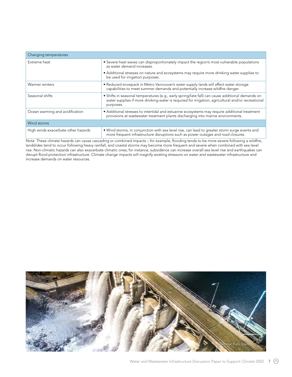| Changing temperatures               |                                                                                                                                                                                                                     |  |  |  |
|-------------------------------------|---------------------------------------------------------------------------------------------------------------------------------------------------------------------------------------------------------------------|--|--|--|
| Extreme heat                        | • Severe heat waves can disproportionately impact the region's most vulnerable populations<br>as water demand increases.                                                                                            |  |  |  |
|                                     | • Additional stresses on nature and ecosystems may require more drinking water supplies to<br>be used for irrigation purposes.                                                                                      |  |  |  |
| Warmer winters                      | • Reduced snowpack in Metro Vancouver's water supply lands will affect water storage<br>capabilities to meet summer demands and potentially increase wildfire danger.                                               |  |  |  |
| Seasonal shifts                     | • Shifts in seasonal temperatures (e.g., early spring/late fall) can cause additional demands on<br>water supplies if more drinking water is required for irrigation, agricultural and/or recreational<br>purposes. |  |  |  |
| Ocean warming and acidification     | • Additional stresses to intertidal and estuarine ecosystems may require additional treatment<br>provisions at wastewater treatment plants discharging into marine environments.                                    |  |  |  |
| Wind storms                         |                                                                                                                                                                                                                     |  |  |  |
| High winds exacerbate other hazards | • Wind storms, in conjunction with sea level rise, can lead to greater storm surge events and<br>more frequent infrastructure disruptions such as power outages and road closures.                                  |  |  |  |

Note: These climate hazards can cause cascading or combined impacts – for example, flooding tends to be more severe following a wildfire, landslides tend to occur following heavy rainfall, and coastal storms may become more frequent and severe when combined with sea level rise. Non-climatic hazards can also exacerbate climatic ones; for instance, subsidence can increase overall sea level rise and earthquakes can disrupt flood protection infrastructure. Climate change impacts will magnify existing stressors on water and wastewater infrastructure and increase demands on water resources.

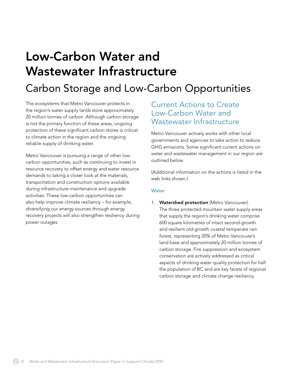# <span id="page-13-0"></span>Low-Carbon Water and Wastewater Infrastructure

### Carbon Storage and Low-Carbon Opportunities

The ecosystems that Metro Vancouver protects in the region's water supply lands store approximately 20 million tonnes of carbon. Although carbon storage is not the primary function of these areas, ongoing protection of these significant carbon stores is critical to climate action in the region and the ongoing reliable supply of drinking water.

Metro Vancouver is pursuing a range of other lowcarbon opportunities, such as continuing to invest in resource recovery to offset energy and water resource demands to taking a closer look at the materials, transportation and construction options available during infrastructure maintenance and upgrade activities. These low-carbon opportunities can also help improve climate resiliency – for example, diversifying our energy sources through energy recovery projects will also strengthen resiliency during power outages.

### Current Actions to Create Low-Carbon Water and Wastewater Infrastructure

Metro Vancouver actively works with other local governments and agencies to take action to reduce GHG emissions. Some significant current actions on water and wastewater management in our region are outlined below.

(Additional information on the actions is listed in the web links shown.)

#### **Water**

1. Watershed protection (Metro Vancouver). The three protected mountain water supply areas that supply the region's drinking water comprise 600 square kilometres of intact second-growth and resilient old-growth coastal temperate rain forest, representing 20% of Metro Vancouver's land base and approximately 20 million tonnes of carbon storage. Fire suppression and ecosystem conservation are actively addressed as critical aspects of drinking water quality protection for half the population of BC and are key facets of regional carbon storage and climate change resiliency.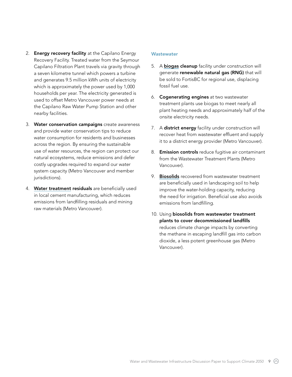- 2. Energy recovery facility at the Capilano Energy Recovery Facility. Treated water from the Seymour Capilano Filtration Plant travels via gravity through a seven kilometre tunnel which powers a turbine and generates 9.5 million kWh units of electricity which is approximately the power used by 1,000 households per year. The electricity generated is used to offset Metro Vancouver power needs at the Capilano Raw Water Pump Station and other nearby facilities.
- 3. Water conservation campaigns create awareness and provide water conservation tips to reduce water consumption for residents and businesses across the region. By ensuring the sustainable use of water resources, the region can protect our natural ecosystems, reduce emissions and defer costly upgrades required to expand our water system capacity (Metro Vancouver and member jurisdictions).
- 4. [Water treatment](#page-24-0) residuals are beneficially used in local cement manufacturing, which reduces emissions from landfilling residuals and mining raw materials (Metro Vancouver).

#### **Wastewater**

- 5. A biogas cleanup facility under construction will generate renewable natural gas (RNG) that will be sold to FortisBC for regional use, displacing fossil fuel use.
- 6. Cogenerating engines at two wastewater treatment plants use biogas to meet nearly all plant heating needs and approximately half of the onsite electricity needs.
- 7. A district energy facility under construction will recover heat from wastewater effluent and supply it to a district energy provider (Metro Vancouver).
- 8. Emission controls reduce fugitive air contaminant from the Wastewater Treatment Plants (Metro Vancouver).
- 9. B[iosolids](#page-23-0) recovered from wastewater treatment are beneficially used in landscaping soil to help improve the water-holding capacity, reducing the need for irrigation. Beneficial use also avoids emissions from landfilling.
- 10. Using biosolids from wastewater treatment plants to cover decommissioned landfills reduces climate change impacts by converting the methane in escaping landfill gas into carbon dioxide, a less potent greenhouse gas (Metro Vancouver).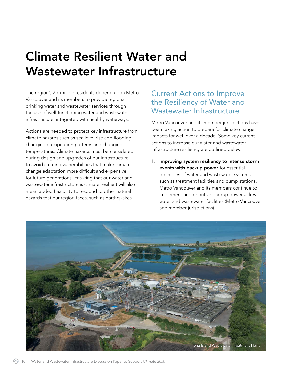# <span id="page-15-0"></span>Climate Resilient Water and Wastewater Infrastructure

The region's 2.7 million residents depend upon Metro Vancouver and its members to provide regional drinking water and wastewater services through the use of well-functioning water and wastewater infrastructure, integrated with healthy waterways.

Actions are needed to protect key infrastructure from climate hazards such as sea level rise and flooding, changing precipitation patterns and changing temperatures. Climate hazards must be considered during design and upgrades of our infrastructure to avoid creating vulnerabilities that make climate [change adaptation](#page-23-0) more difficult and expensive for future generations. Ensuring that our water and wastewater infrastructure is climate resilient will also mean added flexibility to respond to other natural hazards that our region faces, such as earthquakes.

### Current Actions to Improve the Resiliency of Water and Wastewater Infrastructure

Metro Vancouver and its member jurisdictions have been taking action to prepare for climate change impacts for well over a decade. Some key current actions to increase our water and wastewater infrastructure resiliency are outlined below.

1. Improving system resiliency to intense storm events with backup power for essential processes of water and wastewater systems, such as treatment facilities and pump stations. Metro Vancouver and its members continue to implement and prioritize backup power at key water and wastewater facilities (Metro Vancouver and member jurisdictions).

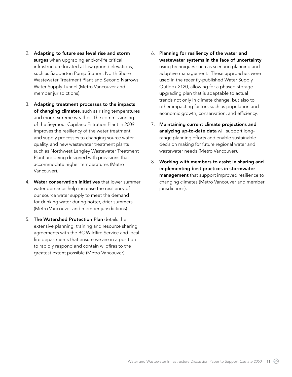- 2. Adapting to future sea level rise and storm surges when upgrading end-of-life critical infrastructure located at low ground elevations, such as Sapperton Pump Station, North Shore Wastewater Treatment Plant and Second Narrows Water Supply Tunnel (Metro Vancouver and member jurisdictions).
- 3. Adapting treatment processes to the impacts of changing climates, such as rising temperatures and more extreme weather. The commissioning of the Seymour Capilano Filtration Plant in 2009 improves the resiliency of the water treatment and supply processes to changing source water quality, and new wastewater treatment plants such as Northwest Langley Wastewater Treatment Plant are being designed with provisions that accommodate higher temperatures (Metro Vancouver).
- 4. Water conservation initiatives that lower summer water demands help increase the resiliency of our source water supply to meet the demand for drinking water during hotter, drier summers (Metro Vancouver and member jurisdictions).
- 5. The Watershed Protection Plan details the extensive planning, training and resource sharing agreements with the BC Wildfire Service and local fire departments that ensure we are in a position to rapidly respond and contain wildfires to the greatest extent possible (Metro Vancouver).
- 6. Planning for resiliency of the water and wastewater systems in the face of uncertainty using techniques such as scenario planning and adaptive management. These approaches were used in the recently-published Water Supply Outlook 2120, allowing for a phased storage upgrading plan that is adaptable to actual trends not only in climate change, but also to other impacting factors such as population and economic growth, conservation, and efficiency.
- 7. Maintaining current climate projections and analyzing up-to-date data will support longrange planning efforts and enable sustainable decision making for future regional water and wastewater needs (Metro Vancouver).
- 8. Working with members to assist in sharing and implementing best practices in stormwater management that support improved resilience to changing climates (Metro Vancouver and member jurisdictions).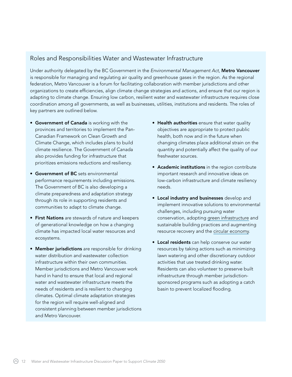#### Roles and Responsibilities Water and Wastewater Infrastructure

Under authority delegated by the BC Government in the *Environmental Management Act*, Metro Vancouver is responsible for managing and regulating air quality and greenhouse gases in the region. As the regional federation, Metro Vancouver is a forum for facilitating collaboration with member jurisdictions and other organizations to create efficiencies, align climate change strategies and actions, and ensure that our region is adapting to climate change. Ensuring low carbon, resilient water and wastewater infrastructure requires close coordination among all governments, as well as businesses, utilities, institutions and residents. The roles of key partners are outlined below.

- **Government of Canada** is working with the provinces and territories to implement the Pan-Canadian Framework on Clean Growth and Climate Change, which includes plans to build climate resilience. The Government of Canada also provides funding for infrastructure that prioritizes emissions reductions and resiliency.
- **Government of BC** sets environmental performance requirements including emissions. The Government of BC is also developing a climate preparedness and adaptation strategy through its role in supporting residents and communities to adapt to climate change.
- **First Nations** are stewards of nature and keepers of generational knowledge on how a changing climate has impacted local water resources and ecosystems.
- Member jurisdictions are responsible for drinking water distribution and wastewater collection infrastructure within their own communities. Member jurisdictions and Metro Vancouver work hand in hand to ensure that local and regional water and wastewater infrastructure meets the needs of residents and is resilient to changing climates. Optimal climate adaptation strategies for the region will require well-aligned and consistent planning between member jurisdictions and Metro Vancouver.
- Health authorities ensure that water quality objectives are appropriate to protect public health, both now and in the future when changing climates place additional strain on the quantity and potentially affect the quality of our freshwater sources.
- Academic institutions in the region contribute important research and innovative ideas on low-carbon infrastructure and climate resiliency needs.
- **Local industry and businesses** develop and implement innovative solutions to environmental challenges, including pursuing water conservation, adopting green infrastructure and sustainable building practices and augmenting resource recovery and the [circular economy.](#page-23-0)
- **Local residents** can help conserve our water resources by taking actions such as minimizing lawn watering and other discretionary outdoor activities that use treated drinking water. Residents can also volunteer to preserve built infrastructure through member jurisdictionsponsored programs such as adopting a catch basin to prevent localized flooding.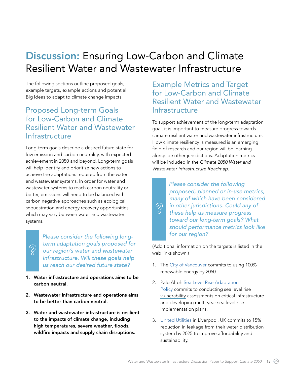### <span id="page-18-0"></span>Discussion: Ensuring Low-Carbon and Climate Resilient Water and Wastewater Infrastructure

The following sections outline proposed goals, example targets, example actions and potential Big Ideas to adapt to climate change impacts.

### Proposed Long-term Goals for Low-Carbon and Climate Resilient Water and Wastewater Infrastructure

Long-term goals describe a desired future state for low emission and carbon neutrality, with expected achievement in 2050 and beyond. Long-term goals will help identify and prioritize new actions to achieve the adaptations required from the water and wastewater systems. In order for water and wastewater systems to reach carbon neutrality or better, emissions will need to be balanced with carbon negative approaches such as ecological sequestration and energy recovery opportunities which may vary between water and wastewater systems.

?

*Please consider the following longterm adaptation goals proposed for our region's water and wastewater infrastructure. Will these goals help us reach our desired future state?* 

- 1. Water infrastructure and operations aims to be carbon neutral.
- 2. Wastewater infrastructure and operations aims to be better than carbon neutral.
- 3. Water and wastewater infrastructure is resilient to the impacts of climate change, including high temperatures, severe weather, floods, wildfire impacts and supply chain disruptions.

#### Example Metrics and Target for Low-Carbon and Climate Resilient Water and Wastewater **Infrastructure**

To support achievement of the long-term adaptation goal, it is important to measure progress towards climate resilient water and wastewater infrastructure. How climate resiliency is measured is an emerging field of research and our region will be learning alongside other jurisdictions. Adaptation metrics will be included in the *Climate 2050 Water and Wastewater Infrastructure Roadmap*.

?

*Please consider the following proposed, planned or in-use metrics, many of which have been considered in other jurisdictions. Could any of these help us measure progress toward our long-term goals? What should performance metrics look like for our region?* 

(Additional information on the targets is listed in the web links shown.)

- 1. The [City of Vancouver](https://vancouver.ca/green-vancouver/goals-and-target.aspx) commits to using 100% renewable energy by 2050.
- 2. Palo Alto's [Sea Level Rise Adaptation](https://www.cityofpaloalto.org/civicax/filebank/blobdload.aspx?t=71340.78&BlobID=70115)  [Policy](https://www.cityofpaloalto.org/civicax/filebank/blobdload.aspx?t=71340.78&BlobID=70115) commits to conducting sea level rise [vulnerability](#page-24-0) assessments on critical infrastructure and developing multi-year sea level rise implementation plans.
- 3. [United Utilities](https://www.unitedutilities.com/globalassets/z_corporate-site/pr19/c0008_pr19_customer_facing_document.pdf) in Liverpool, UK commits to 15% reduction in leakage from their water distribution system by 2025 to improve affordability and sustainability.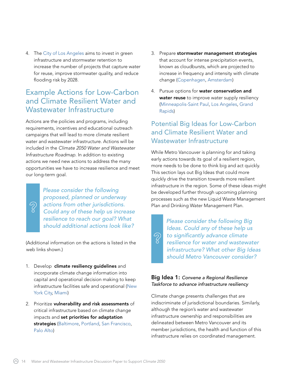<span id="page-19-0"></span>4. The [City of Los Angeles](https://www.lamayor.org/sites/g/files/wph446/f/page/file/Resilient%20Los%20Angeles.pdf) aims to invest in green infrastructure and stormwater retention to increase the number of projects that capture water for reuse, improve stormwater quality, and reduce flooding risk by 2028.

### Example Actions for Low-Carbon and Climate Resilient Water and Wastewater Infrastructure

Actions are the policies and programs, including requirements, incentives and educational outreach campaigns that will lead to more climate resilient water and wastewater infrastructure. Actions will be included in the *Climate 2050 Water and Wastewater Infrastructure Roadmap*. In addition to existing actions we need new actions to address the many opportunities we have to increase resilience and meet our long-term goal.

> *Please consider the following proposed, planned or underway actions from other jurisdictions. Could any of these help us increase resilience to reach our goal? What should additional actions look like?*

?

(Additional information on the actions is listed in the web links shown.)

- 1. Develop climate resiliency guidelines and incorporate climate change information into capital and operational decision making to keep infrastructure facilities safe and operational [\(New](https://www.wucaonline.org/adaptation-in-practice/engineering-case-studies/index.html)  [York City,](https://www.wucaonline.org/adaptation-in-practice/engineering-case-studies/index.html) [Miami\)](https://www.wucaonline.org/assets/pdf/engineering-case-study-miami-dade.pdf)
- 2. Prioritize vulnerability and risk assessments of critical infrastructure based on climate change impacts and set priorities for adaptation strategies [\(Baltimore](www.baltimoresustainability.org/wp-content/uploads/2015/12/BaltimoreClimateActionPlan.pdf), [Portland](https://www.portland.gov/sites/default/files/2019-07/risk-vulnerabilities-assessment-press.pdf), [San Francisco](https://www.wucaonline.org/assets/pdf/engineering-case-study-sanfran.pdf), [Palo Alto](https://www.cityofpaloalto.org/civicax/filebank/blobdload.aspx?t=71340.78&BlobID=70115))
- 3. Prepare stormwater management strategies that account for intense precipitation events, known as cloudbursts, which are projected to increase in frequency and intensity with climate change [\(Copenhagen](https://climate-adapt.eea.europa.eu/metadata/publications/economics-of-cloudburst-and-stormwater-management-in-copenhagen/11258638), [Amsterdam](https://www.rainproof.nl/sites/default/files/rainproof-magazine-engels.pdf))
- 4. Pursue options for water conservation and water reuse to improve water supply resiliency ([Minneapolis-Saint Paul,](https://metrocouncil.org/Wastewater-Water/Planning/Water-Resources-Management-Policy-Plan/WATER-RESOURCES-POLICIES/Water-Resources-Policy-Plan.aspx) [Los Angeles](https://www.lamayor.org/sites/g/files/wph446/f/page/file/Resilient%20Los%20Angeles.pdf), [Grand](https://www.grandrapidsmi.gov/Government/Departments/Office-of-the-City-Manager/Strategic-Plan)  [Rapids](https://www.grandrapidsmi.gov/Government/Departments/Office-of-the-City-Manager/Strategic-Plan))

### Potential Big Ideas for Low-Carbon and Climate Resilient Water and Wastewater Infrastructure

While Metro Vancouver is planning for and taking early actions towards its goal of a resilient region, more needs to be done to think big and act quickly. This section lays out Big Ideas that could more quickly drive the transition towards more resilient infrastructure in the region. Some of these ideas might be developed further through upcoming planning processes such as the new Liquid Waste Management Plan and Drinking Water Management Plan.

|   | Í |  |
|---|---|--|
| Ļ | ₹ |  |
|   |   |  |

*Please consider the following Big Ideas. Could any of these help us to significantly advance climate resilience for water and wastewater infrastructure? What other Big Ideas should Metro Vancouver consider?*

#### Big Idea 1: *Convene a Regional Resilience Taskforce to advance infrastructure resiliency*

Climate change presents challenges that are indiscriminate of jurisdictional boundaries. Similarly, although the region's water and wastewater infrastructure ownership and responsibilities are delineated between Metro Vancouver and its member jurisdictions, the health and function of this infrastructure relies on coordinated management.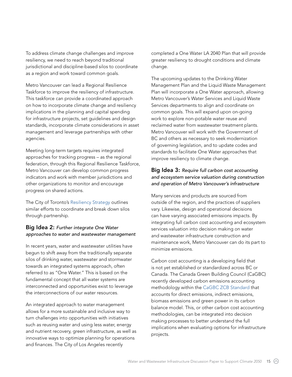To address climate change challenges and improve resiliency, we need to reach beyond traditional jurisdictional and discipline-based silos to coordinate as a region and work toward common goals.

Metro Vancouver can lead a Regional Resilience Taskforce to improve the resiliency of infrastructure. This taskforce can provide a coordinated approach on how to incorporate climate change and resiliency implications in the planning and capital spending for infrastructure projects, set guidelines and design standards, incorporate climate considerations in asset management and leverage partnerships with other agencies.

Meeting long-term targets requires integrated approaches for tracking progress – as the regional federation, through this Regional Resilience Taskforce, Metro Vancouver can develop common progress indicators and work with member jurisdictions and other organizations to monitor and encourage progress on shared actions.

The City of Toronto's [Resiliency Strategy](https://www.toronto.ca/ext/digital_comm/pdfs/resilience-office/toronto-resilience-strategy.pdf) outlines similar efforts to coordinate and break down silos through partnership.

#### Big Idea 2: *Further integrate One Water approaches to water and wastewater management*

In recent years, water and wastewater utilities have begun to shift away from the traditionally separate silos of drinking water, wastewater and stormwater towards an integrated systems approach, often referred to as "One Water." This is based on the fundamental concept that all water systems are interconnected and opportunities exist to leverage the interconnections of our water resources.

An integrated approach to water management allows for a more sustainable and inclusive way to turn challenges into opportunities with initiatives such as reusing water and using less water, energy and nutrient recovery, green infrastructure, as well as innovative ways to optimize planning for operations and finances. The City of Los Angeles recently

completed a One Water LA 2040 Plan that will provide greater resiliency to drought conditions and climate change.

The upcoming updates to the Drinking Water Management Plan and the Liquid Waste Management Plan will incorporate a One Water approach, allowing Metro Vancouver's Water Services and Liquid Waste Services departments to align and coordinate on common goals. This will expand upon on-going work to explore non-potable water reuse and reclaimed water from wastewater treatment plants. Metro Vancouver will work with the Government of BC and others as necessary to seek modernization of governing legislation, and to update codes and standards to facilitate One Water approaches that improve resiliency to climate change.

#### Big Idea 3: *Require full carbon cost accounting and ecosystem service valuation during construction and operation of Metro Vancouver's infrastructure*

Many services and products are sourced from outside of the region, and the practices of suppliers vary. Likewise, design and operational decisions can have varying associated emissions impacts. By integrating full carbon cost accounting and ecosystem services valuation into decision making on water and wastewater infrastructure construction and maintenance work, Metro Vancouver can do its part to minimize emissions.

Carbon cost accounting is a developing field that is not yet established or standardized across BC or Canada. The Canada Green Building Council (CaGBC) recently developed carbon emissions accounting methodology within the [CaGBC ZCB Standard](https://www.cagbc.org/CAGBC/Zero_Carbon/The_CaGBC_Zero_Carbon_Building_Program.aspx) that accounts for direct emissions, indirect emissions, biomass emissions and green power in its carbon balance model. This, or other carbon cost accounting methodologies, can be integrated into decision making processes to better understand the full implications when evaluating options for infrastructure projects.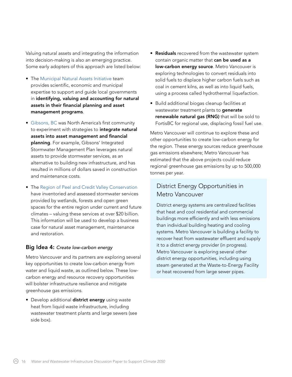Valuing natural assets and integrating the information into decision-making is also an emerging practice. Some early adopters of this approach are listed below:

- The [Municipal Natural Assets Initiative](https://mnai.ca/about/) team provides scientific, economic and municipal expertise to support and guide local governments in identifying, valuing and accounting for natural assets in their financial planning and asset management programs.
- [Gibsons, BC](https://gibsons.ca/sustainability/natural-assets/gibsons-natural-asset-management-journey/) was North America's first community to experiment with strategies to integrate natural assets into asset management and financial planning. For example, Gibsons' Integrated Stormwater Management Plan leverages natural assets to provide stormwater services, as an alternative to building new infrastructure, and has resulted in millions of dollars saved in construction and maintenance costs.
- The [Region of Peel and Credit Valley Conservation](https://mnai.ca/where-are-they-now-peel/) have inventoried and assessed stormwater services provided by wetlands, forests and open green spaces for the entire region under current and future climates – valuing these services at over \$20 billion. This information will be used to develop a business case for natural asset management, maintenance and restoration.

#### Big Idea 4: *Create low-carbon energy*

Metro Vancouver and its partners are exploring several key opportunities to create low-carbon energy from water and liquid waste, as outlined below. These lowcarbon energy and resource recovery opportunities will bolster infrastructure resilience and mitigate greenhouse gas emissions.

• Develop additional **district energy** using waste heat from liquid waste infrastructure, including wastewater treatment plants and large sewers (see side box).

- Residuals recovered from the wastewater system contain organic matter that can be used as a low-carbon energy source. Metro Vancouver is exploring technologies to convert residuals into solid fuels to displace higher carbon fuels such as coal in cement kilns, as well as into liquid fuels, using a process called hydrothermal liquefaction.
- Build additional biogas cleanup facilities at wastewater treatment plants to generate renewable natural gas (RNG) that will be sold to FortisBC for regional use, displacing fossil fuel use.

Metro Vancouver will continue to explore these and other opportunities to create low-carbon energy for the region. These energy sources reduce greenhouse gas emissions elsewhere; Metro Vancouver has estimated that the above projects could reduce regional greenhouse gas emissions by up to 500,000 tonnes per year.

#### District Energy Opportunities in Metro Vancouver

District energy systems are centralized facilities that heat and cool residential and commercial buildings more efficiently and with less emissions than individual building heating and cooling systems. Metro Vancouver is building a facility to recover heat from wastewater effluent and supply it to a district energy provider (in progress). Metro Vancouver is exploring several other district energy opportunities, including using steam generated at the Waste-to-Energy Facility or heat recovered from large sewer pipes.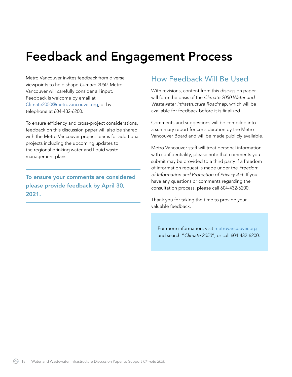# <span id="page-23-0"></span>Feedback and Engagement Process

Metro Vancouver invites feedback from diverse viewpoints to help shape *Climate 2050*. Metro Vancouver will carefully consider all input. Feedback is welcome by email at [Climate2050@metrovancouver.org,](mailto:Climate2050%40metrovancouver.org?subject=Feedback%20-%20Infrastructure%20Discussion%20Paper) or by telephone at 604-432-6200.

To ensure efficiency and cross-project considerations, feedback on this discussion paper will also be shared with the Metro Vancouver project teams for additional projects including the upcoming updates to the regional drinking water and liquid waste management plans.

To ensure your comments are considered please provide feedback by April 30, 2021.

### How Feedback Will Be Used

With revisions, content from this discussion paper will form the basis of the *Climate 2050 Water and Wastewater Infrastructure Roadmap*, which will be available for feedback before it is finalized.

Comments and suggestions will be compiled into a summary report for consideration by the Metro Vancouver Board and will be made publicly available.

Metro Vancouver staff will treat personal information with confidentiality; please note that comments you submit may be provided to a third party if a freedom of information request is made under the *Freedom of Information and Protection of Privacy Act*. If you have any questions or comments regarding the consultation process, please call 604-432-6200.

Thank you for taking the time to provide your valuable feedback.

For more information, visit [metrovancouver.org](http://www.metrovancouver.org/) and search "*Climate 2050*", or call 604-432-6200.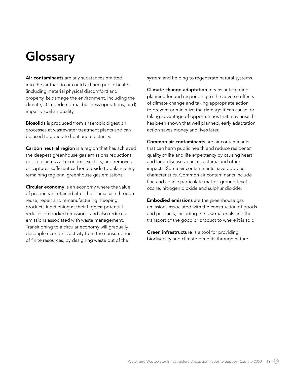# <span id="page-24-0"></span>**Glossary**

Air contaminants are any substances emitted into the air that do or could a) harm public health (including material physical discomfort) and property, b) damage the environment, including the climate, c) impede normal business operations, or d) impair visual air quality

**Biosolids** is produced from anaerobic digestion processes at wastewater treatment plants and can be used to generate heat and electricity.

Carbon neutral region is a region that has achieved the deepest greenhouse gas emissions reductions possible across all economic sectors, and removes or captures sufficient carbon dioxide to balance any remaining regional greenhouse gas emissions.

**Circular economy** is an economy where the value of products is retained after their initial use through reuse, repair and remanufacturing. Keeping products functioning at their highest potential reduces embodied emissions, and also reduces emissions associated with waste management. Transitioning to a circular economy will gradually decouple economic activity from the consumption of finite resources, by designing waste out of the

system and helping to regenerate natural systems.

Climate change adaptation means anticipating, planning for and responding to the adverse effects of climate change and taking appropriate action to prevent or minimize the damage it can cause, or taking advantage of opportunities that may arise. It has been shown that well planned, early adaptation action saves money and lives later.

Common air contaminants are air contaminants that can harm public health and reduce residents' quality of life and life expectancy by causing heart and lung diseases, cancer, asthma and other impacts. Some air contaminants have odorous characteristics. Common air contaminants include fine and coarse particulate matter, ground-level ozone, nitrogen dioxide and sulphur dioxide.

**Embodied emissions** are the greenhouse gas emissions associated with the construction of goods and products, including the raw materials and the transport of the good or product to where it is sold.

**Green infrastructure** is a tool for providing biodiversity and climate benefits through nature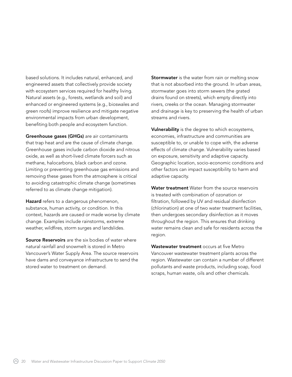based solutions. It includes natural, enhanced, and engineered assets that collectively provide society with ecosystem services required for healthy living. Natural assets (e.g., forests, wetlands and soil) and enhanced or engineered systems (e.g., bioswales and green roofs) improve resilience and mitigate negative environmental impacts from urban development, benefiting both people and ecosystem function.

Greenhouse gases (GHGs) are air contaminants that trap heat and are the cause of climate change. Greenhouse gases include carbon dioxide and nitrous oxide, as well as short-lived climate forcers such as methane, halocarbons, black carbon and ozone. Limiting or preventing greenhouse gas emissions and removing these gases from the atmosphere is critical to avoiding catastrophic climate change (sometimes referred to as climate change mitigation).

Hazard refers to a dangerous phenomenon, substance, human activity, or condition. In this context, hazards are caused or made worse by climate change. Examples include rainstorms, extreme weather, wildfires, storm surges and landslides.

**Source Reservoirs** are the six bodies of water where natural rainfall and snowmelt is stored in Metro Vancouver's Water Supply Area. The source reservoirs have dams and conveyance infrastructure to send the stored water to treatment on demand.

**Stormwater** is the water from rain or melting snow that is not absorbed into the ground. In urban areas, stormwater goes into storm sewers (the grated drains found on streets), which empty directly into rivers, creeks or the ocean. Managing stormwater and drainage is key to preserving the health of urban streams and rivers.

Vulnerability is the degree to which ecosystems, economies, infrastructure and communities are susceptible to, or unable to cope with, the adverse effects of climate change. Vulnerability varies based on exposure, sensitivity and adaptive capacity. Geographic location, socio-economic conditions and other factors can impact susceptibility to harm and adaptive capacity.

Water treatment Water from the source reservoirs is treated with combination of ozonation or filtration, followed by UV and residual disinfection (chlorination) at one of two water treatment facilities, then undergoes secondary disinfection as it moves throughout the region. This ensures that drinking water remains clean and safe for residents across the region.

Wastewater treatment occurs at five Metro Vancouver wastewater treatment plants across the region. Wastewater can contain a number of different pollutants and waste products, including soap, food scraps, human waste, oils and other chemicals.